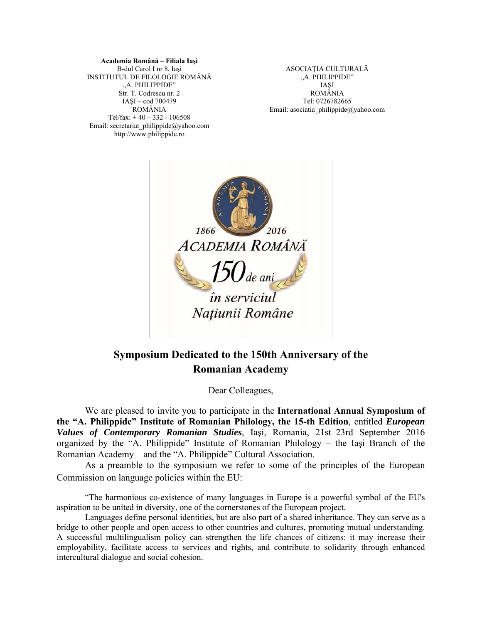#### **Academia Română – Filiala Iaşi**  B-dul Carol I nr 8, Iaşi INSTITUTUL DE FILOLOGIE ROMÂNĂ "A. PHILIPPIDE" Str. T. Codrescu nr. 2 IAŞI – cod 700479 ROMÂNIA Tel/fax: + 40 – 332 - 106508 Email: secretariat\_philippide@yahoo.com http://www.philippide.ro

ASOCIAŢIA CULTURALĂ "A. PHILIPPIDE" IAŞI ROMÂNIA Tel: 0726782665 Email: asociatia\_philippide@yahoo.com



# **Symposium Dedicated to the 150th Anniversary of the Romanian Academy**

Dear Colleagues,

We are pleased to invite you to participate in the **International Annual Symposium of the "A. Philippide" Institute of Romanian Philology, the 15-th Edition**, entitled *European Values of Contemporary Romanian Studies*, Iaşi, Romania, 21st–23rd September 2016 organized by the "A. Philippide" Institute of Romanian Philology – the Iaşi Branch of the Romanian Academy – and the "A. Philippide" Cultural Association.

As a preamble to the symposium we refer to some of the principles of the European Commission on language policies within the EU:

"The harmonious co-existence of many languages in Europe is a powerful symbol of the EU's aspiration to be united in diversity, one of the cornerstones of the European project.

Languages define personal identities, but are also part of a shared inheritance. They can serve as a bridge to other people and open access to other countries and cultures, promoting mutual understanding. A successful multilingualism policy can strengthen the life chances of citizens: it may increase their employability, facilitate access to services and rights, and contribute to solidarity through enhanced intercultural dialogue and social cohesion.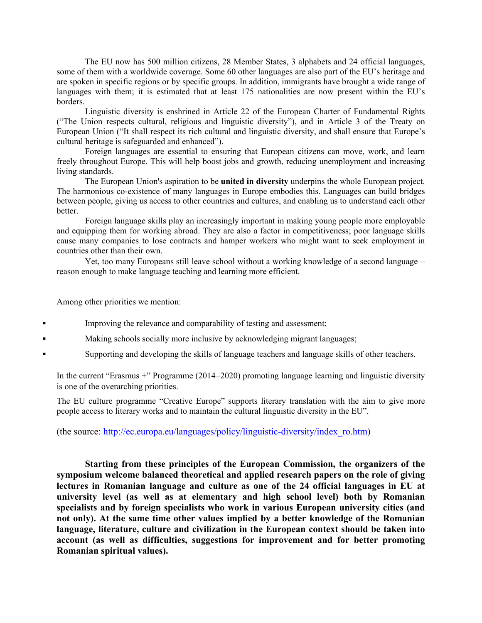The EU now has 500 million citizens, 28 Member States, 3 alphabets and 24 official languages, some of them with a worldwide coverage. Some 60 other languages are also part of the EU's heritage and are spoken in specific regions or by specific groups. In addition, immigrants have brought a wide range of languages with them; it is estimated that at least 175 nationalities are now present within the EU's borders.

Linguistic diversity is enshrined in Article 22 of the European Charter of Fundamental Rights ("The Union respects cultural, religious and linguistic diversity"), and in Article 3 of the Treaty on European Union ("It shall respect its rich cultural and linguistic diversity, and shall ensure that Europe's cultural heritage is safeguarded and enhanced").

Foreign languages are essential to ensuring that European citizens can move, work, and learn freely throughout Europe. This will help boost jobs and growth, reducing unemployment and increasing living standards.

The European Union's aspiration to be **united in diversity** underpins the whole European project. The harmonious co-existence of many languages in Europe embodies this. Languages can build bridges between people, giving us access to other countries and cultures, and enabling us to understand each other better.

Foreign language skills play an increasingly important in making young people more employable and equipping them for working abroad. They are also a factor in competitiveness; poor language skills cause many companies to lose contracts and hamper workers who might want to seek employment in countries other than their own.

Yet, too many Europeans still leave school without a working knowledge of a second language reason enough to make language teaching and learning more efficient.

Among other priorities we mention:

Improving the relevance and comparability of testing and assessment;

Making schools socially more inclusive by acknowledging migrant languages;

Supporting and developing the skills of language teachers and language skills of other teachers.

In the current "Erasmus  $+$ " Programme (2014–2020) promoting language learning and linguistic diversity is one of the overarching priorities.

The EU culture programme "Creative Europe" supports literary translation with the aim to give more people access to literary works and to maintain the cultural linguistic diversity in the EU".

(the source: http://ec.europa.eu/languages/policy/linguistic-diversity/index\_ro.htm)

**Starting from these principles of the European Commission, the organizers of the symposium welcome balanced theoretical and applied research papers on the role of giving lectures in Romanian language and culture as one of the 24 official languages in EU at university level (as well as at elementary and high school level) both by Romanian specialists and by foreign specialists who work in various European university cities (and not only). At the same time other values implied by a better knowledge of the Romanian language, literature, culture and civilization in the European context should be taken into account (as well as difficulties, suggestions for improvement and for better promoting Romanian spiritual values).**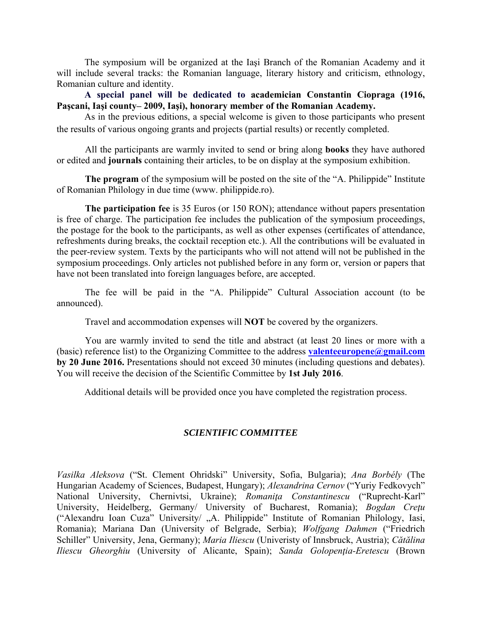The symposium will be organized at the Iaşi Branch of the Romanian Academy and it will include several tracks: the Romanian language, literary history and criticism, ethnology, Romanian culture and identity.

**A special panel will be dedicated to academician Constantin Ciopraga (1916, Paşcani, Iaşi county– 2009, Iaşi), honorary member of the Romanian Academy.**

As in the previous editions, a special welcome is given to those participants who present the results of various ongoing grants and projects (partial results) or recently completed.

All the participants are warmly invited to send or bring along **books** they have authored or edited and **journals** containing their articles, to be on display at the symposium exhibition.

**The program** of the symposium will be posted on the site of the "A. Philippide" Institute of Romanian Philology in due time (www. philippide.ro).

**The participation fee** is 35 Euros (or 150 RON); attendance without papers presentation is free of charge. The participation fee includes the publication of the symposium proceedings, the postage for the book to the participants, as well as other expenses (certificates of attendance, refreshments during breaks, the cocktail reception etc.). All the contributions will be evaluated in the peer-review system. Texts by the participants who will not attend will not be published in the symposium proceedings. Only articles not published before in any form or, version or papers that have not been translated into foreign languages before, are accepted.

The fee will be paid in the "A. Philippide" Cultural Association account (to be announced).

Travel and accommodation expenses will **NOT** be covered by the organizers.

You are warmly invited to send the title and abstract (at least 20 lines or more with a (basic) reference list) to the Organizing Committee to the address **valenteeuropene@gmail.com by 20 June 2016.** Presentations should not exceed 30 minutes (including questions and debates). You will receive the decision of the Scientific Committee by **1st July 2016**.

Additional details will be provided once you have completed the registration process.

# *SCIENTIFIC COMMITTEE*

*Vasilka Aleksova* ("St. Clement Ohridski" University, Sofia, Bulgaria); *Ana Borbély* (The Hungarian Academy of Sciences, Budapest, Hungary); *Alexandrina Cernov* ("Yuriy Fedkovych" National University, Chernivtsi, Ukraine); *Romaniţa Constantinescu* ("Ruprecht-Karl" University, Heidelberg, Germany/ University of Bucharest, Romania); *Bogdan Creţu* ("Alexandru Ioan Cuza" University/ "A. Philippide" Institute of Romanian Philology, Iasi, Romania); Mariana Dan (University of Belgrade, Serbia); *Wolfgang Dahmen* ("Friedrich Schiller" University, Jena, Germany); *Maria Iliescu* (Univeristy of Innsbruck, Austria); *Cătălina Iliescu Gheorghiu* (University of Alicante, Spain); *Sanda Golopenţia-Eretescu* (Brown